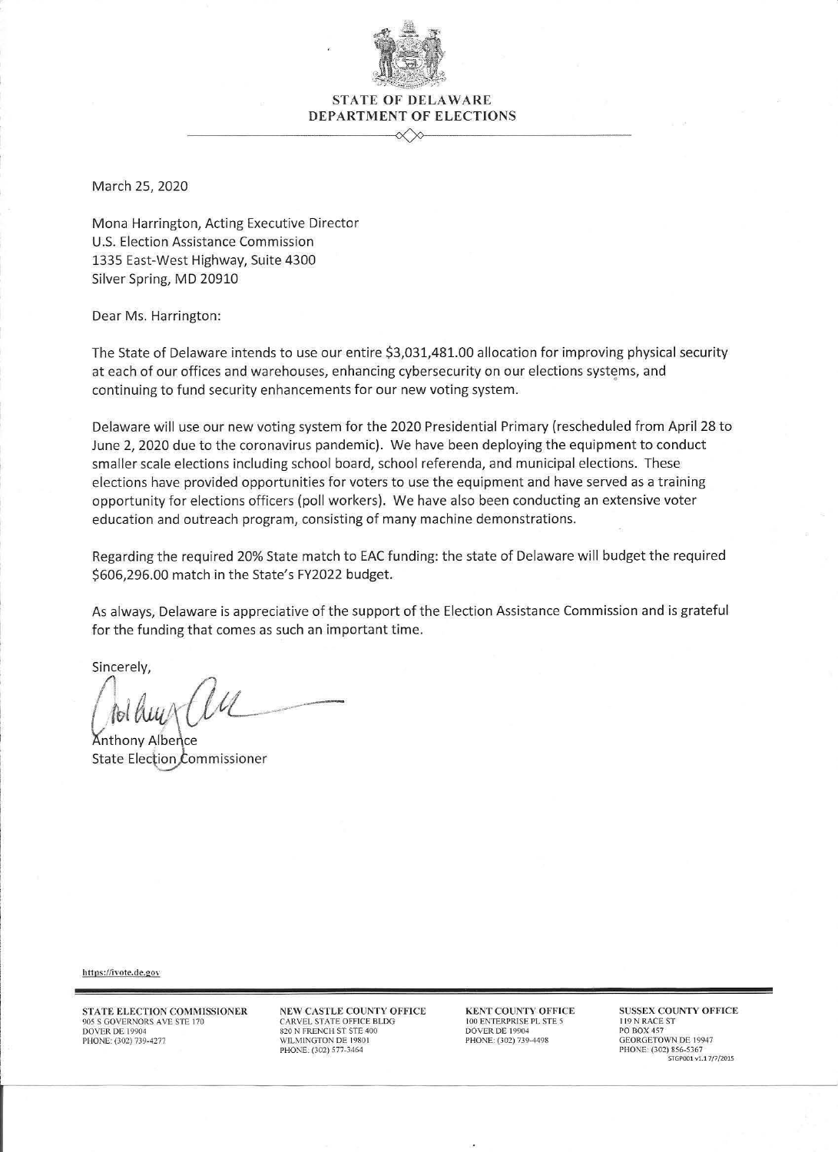

## **STATE OF DELAWARE** DEPARTMENT OF ELECTIONS

March 25, 2020

Mona Harrington, Acting Executive Director U.S. Election Assistance Commission 1335 East-West Highway, Suite 4300 Silver Spring, MD 20910

Dear Ms. Harrington:

The State of Delaware intends to use our entire \$3,031,481.00 allocation for improving physical security at each of our offices and warehouses, enhancing cybersecurity on our elections systems, and continuing to fund security enhancements for our new voting system.

Delaware will use our new voting system for the 2020 Presidential Primary (rescheduled from April 28 to June 2, 2020 due to the coronavirus pandemic). We have been deploying the equipment to conduct smaller scale elections including school board, school referenda, and municipal elections. These elections have provided opportunities for voters to use the equipment and have served as a training opportunity for elections officers (poll workers). We have also been conducting an extensive voter education and outreach program, consisting of many machine demonstrations.

Regarding the required 20% State match to EAC funding: the state of Delaware will budget the required \$606,296.00 match in the State's FY2022 budget.

As always, Delaware is appreciative of the support of the Election Assistance Commission and is grateful for the funding that comes as such an important time.

Sincerely,

**Anthony Albence** State Election Commissioner

https://ivote.de.gov

STATE ELECTION COMMISSIONER 905 S GOVERNORS AVE STE 170<br>DOVER DE 19904 PHONE: (302) 739-4277

NEW CASTLE COUNTY OFFICE CARVEL STATE OFFICE BLDG<br>820 N FRENCH ST STE 400 WILMINGTON DE 19801 PHONE: (302) 577-3464

**KENT COUNTY OFFICE** 100 ENTERPRISE PL STE 5 DOVER DE 19904 PHONE: (302) 739-4498

**SUSSEX COUNTY OFFICE** 119 N RACE ST PO BOX 457 **GEORGETOWN DE 19947** PHONE: (302) 856-5367 STGP001 v1.17/7/2015